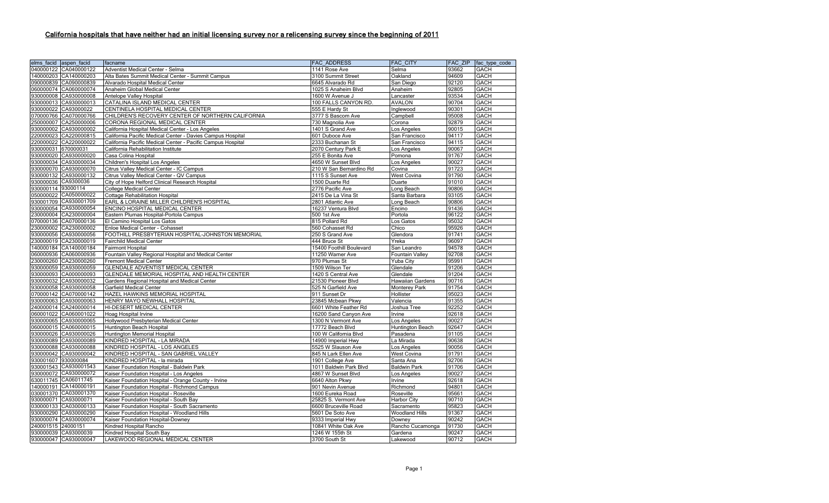## California hospitals that have neither had an initial licensing survey nor a relicensing survey since the beginning of 2011

| elms facid aspen facid | facname                                                     | <b>FAC ADDRESS</b>       | <b>FAC CITY</b>         | <b>FAC ZIP</b> | fac type code |
|------------------------|-------------------------------------------------------------|--------------------------|-------------------------|----------------|---------------|
| 040000122 CA040000122  | Adventist Medical Center - Selma                            | 1141 Rose Ave            | Selma                   | 93662          | <b>GACH</b>   |
| 140000203 CA140000203  | Alta Bates Summit Medical Center - Summit Campus            | 3100 Summit Street       | Oakland                 | 94609          | <b>GACH</b>   |
| 090000839 CA090000839  | Alvarado Hospital Medical Center                            | 6645 Alvarado Rd         | San Diego               | 92120          | <b>GACH</b>   |
| 060000074 CA060000074  | Anaheim Global Medical Center                               | 1025 S Anaheim Blvd      | Anaheim                 | 92805          | <b>GACH</b>   |
| 930000008 CA930000008  | Antelope Valley Hospital                                    | 1600 W Avenue J          | Lancaster               | 93534          | <b>GACH</b>   |
| 930000013 CA930000013  | CATALINA ISLAND MEDICAL CENTER                              | 100 FALLS CANYON RD.     | <b>AVALON</b>           | 90704          | <b>GACH</b>   |
| 930000022 CA93000022   | CENTINELA HOSPITAL MEDICAL CENTER                           | 555 E Hardy St           | Inglewood               | 90301          | <b>GACH</b>   |
| 070000766 CA070000766  | CHILDREN'S RECOVERY CENTER OF NORTHERN CALIFORNIA           | 3777 S Bascom Ave        | Campbell                | 95008          | <b>GACH</b>   |
| 250000007 CA250000006  | CORONA REGIONAL MEDICAL CENTER                              | 730 Magnolia Ave         | Corona                  | 92879          | <b>GACH</b>   |
| 930000002 CA930000002  | California Hospital Medical Center - Los Angeles            | 1401 S Grand Ave         | Los Angeles             | 90015          | <b>GACH</b>   |
| 220000023 CA220000815  | California Pacific Medical Center - Davies Campus Hospital  | 601 Duboce Ave           | San Francisco           | 94117          | <b>GACH</b>   |
| 220000022 CA220000022  | California Pacific Medical Center - Pacific Campus Hospital | 2333 Buchanan St         | San Francisco           | 94115          | <b>GACH</b>   |
| 930000031 670000031    | California Rehabilitation Institute                         | 2070 Century Park E      | Los Angeles             | 90067          | <b>GACH</b>   |
| 930000020 CA930000020  | Casa Colina Hospital                                        | 255 E Bonita Ave         | Pomona                  | 91767          | <b>GACH</b>   |
| 930000034 CA930000034  | <b>Children's Hospital Los Angeles</b>                      | 4650 W Sunset Blvd       | Los Angeles             | 90027          | <b>GACH</b>   |
| 930000070 CA930000070  | Citrus Valley Medical Center - IC Campus                    | 210 W San Bernardino Rd  | Covina                  | 91723          | <b>GACH</b>   |
| 930000132 CA930000132  | Citrus Valley Medical Center - QV Campus                    | 1115 S Sunset Ave        | <b>West Covina</b>      | 91790          | <b>GACH</b>   |
| 930000036 CA9300036    | City of Hope Helford Clinical Research Hospital             | 1500 Duarte Rd           | Duarte                  | 91010          | <b>GACH</b>   |
| 930000114 93000114     | <b>College Medical Center</b>                               | 2776 Pacific Ave         | Long Beach              | 90806          | <b>GACH</b>   |
| 050000022 CA050000022  | <b>Cottage Rehabilitation Hospital</b>                      | 2415 De La Vina St       | Santa Barbara           | 93105          | <b>GACH</b>   |
| 930001709 CA930001709  | EARL & LORAINE MILLER CHILDREN'S HOSPITAL                   | 2801 Atlantic Ave        | Long Beach              | 90806          | <b>GACH</b>   |
| 930000054 CA930000054  | ENCINO HOSPITAL MEDICAL CENTER                              | 16237 Ventura Blvd       | Encino                  | 91436          | <b>GACH</b>   |
| 230000004 CA230000004  | Eastern Plumas Hospital-Portola Campus                      | 500 1st Ave              | Portola                 | 96122          | <b>GACH</b>   |
| 070000136 CA070000136  | El Camino Hospital Los Gatos                                | 815 Pollard Rd           | Los Gatos               | 95032          | <b>GACH</b>   |
| 230000002 CA230000002  | Enloe Medical Center - Cohasset                             | 560 Cohasset Rd          | Chico                   | 95926          | GACH          |
| 930000056 CA930000056  | FOOTHILL PRESBYTERIAN HOSPITAL-JOHNSTON MEMORIAL            | 250 S Grand Ave          | Glendora                | 91741          | <b>GACH</b>   |
| 230000019 CA230000019  | <b>Fairchild Medical Center</b>                             | 444 Bruce St             | Yreka                   | 96097          | <b>GACH</b>   |
| 140000184 CA140000184  | Fairmont Hospital                                           | 15400 Foothill Boulevard | San Leandro             | 94578          | <b>GACH</b>   |
| 060000936 CA060000936  | Fountain Valley Regional Hospital and Medical Center        | 11250 Warner Ave         | Fountain Valley         | 92708          | <b>GACH</b>   |
| 230000260 CA230000260  | <b>Fremont Medical Center</b>                               | 970 Plumas St            | <b>Yuba City</b>        | 95991          | <b>GACH</b>   |
| 930000059 CA930000059  | GLENDALE ADVENTIST MEDICAL CENTER                           | 1509 Wilson Ter          | Glendale                | 91206          | <b>GACH</b>   |
| 930000093 CA000000093  | GLENDALE MEMORIAL HOSPITAL AND HEALTH CENTER                | 1420 S Central Ave       | Glendale                | 91204          | <b>GACH</b>   |
| 930000032 CA930000032  | Gardens Regional Hospital and Medical Center                | 21530 Pioneer Blvd       | <b>Hawaiian Gardens</b> | 90716          | <b>GACH</b>   |
| 930000058 CA930000058  | Garfield Medical Center                                     | 525 N Garfield Ave       | Monterey Park           | 91754          | <b>GACH</b>   |
| 070000142 CA070000142  | HAZEL HAWKINS MEMORIAL HOSPITAL                             | 911 Sunset Dr            | Hollister               | 95023          | <b>GACH</b>   |
| 930000063 CA930000063  | HENRY MAYO NEWHALL HOSPITAL                                 | 23845 Mcbean Pkwy        | Valencia                | 91355          | <b>GACH</b>   |
| 240000014 CA240000014  | HI-DESERT MEDICAL CENTER                                    | 6601 White Feather Rd    | Joshua Tree             | 92252          | <b>GACH</b>   |
| 060001022 CA060001022  | Hoag Hospital Irvine                                        | 16200 Sand Canyon Ave    | Irvine                  | 92618          | <b>GACH</b>   |
| 930000065 CA930000065  | Hollywood Presbyterian Medical Center                       | 1300 N Vermont Ave       | Los Angeles             | 90027          | <b>GACH</b>   |
| 060000015 CA060000015  | Huntington Beach Hospital                                   | 17772 Beach Blvd         | Huntington Beach        | 92647          | <b>GACH</b>   |
| 930000026 CA930000026  | Huntington Memorial Hospital                                | 100 W California Blvd    | Pasadena                | 91105          | <b>GACH</b>   |
| 930000089 CA930000089  | KINDRED HOSPITAL - LA MIRADA                                | 14900 Imperial Hwy       | La Mirada               | 90638          | <b>GACH</b>   |
| 930000088 CA930000088  | KINDRED HOSPITAL - LOS ANGELES                              | 5525 W Slauson Ave       | Los Angeles             | 90056          | <b>GACH</b>   |
| 930000042 CA930000042  | KINDRED HOSPITAL - SAN GABRIEL VALLEY                       | 845 N Lark Ellen Ave     | <b>West Covina</b>      | 91791          | <b>GACH</b>   |
| 930001607 930000084    | KINDRED HOSPITAL - la mirada                                | 1901 College Ave         | Santa Ana               | 92706          | <b>GACH</b>   |
| 930001543 CA930001543  | Kaiser Foundation Hospital - Baldwin Park                   | 1011 Baldwin Park Blvd   | <b>Baldwin Park</b>     | 91706          | <b>GACH</b>   |
| 930000072 CA930000072  | Kaiser Foundation Hospital - Los Angeles                    | 4867 W Sunset Blvd       | Los Angeles             | 90027          | <b>GACH</b>   |
| 630011745 CA06011745   | Kaiser Foundation Hospital - Orange County - Irvine         | 6640 Alton Pkwy          | Irvine                  | 92618          | <b>GACH</b>   |
| 140000191 CA140000191  | Kaiser Foundation Hospital - Richmond Campus                | 901 Nevin Avenue         | Richmond                | 94801          | <b>GACH</b>   |
| 030001370 CA030001370  | Kaiser Foundation Hospital - Roseville                      | 1600 Eureka Road         | Roseville               | 95661          | <b>GACH</b>   |
| 930000071 CA93000071   | Kaiser Foundation Hospital - South Bay                      | 25825 S. Vermont Ave     | Harbor City             | 90710          | <b>GACH</b>   |
| 030000133 CA030000133  | Kaiser Foundation Hospital - South Sacramento               | 6600 Bruceville Road     | Sacramento              | 95823          | <b>GACH</b>   |
| 930000290 CA930000290  | Kaiser Foundation Hospital - Woodland Hills                 | 5601 De Soto Ave         | <b>Woodland Hills</b>   | 91367          | <b>GACH</b>   |
| 930000074 CA930000074  | Kaiser Foundation Hospital-Downey                           | 9333 Imperial Hwy        | Downey                  | 90242          | <b>GACH</b>   |
| 240001515 24000151     | Kindred Hospital Rancho                                     | 10841 White Oak Ave      | Rancho Cucamonga        | 91730          | <b>GACH</b>   |
| 930000039 CA93000039   | Kindred Hospital South Bay                                  | 1246 W 155th St          | Gardena                 | 90247          | <b>GACH</b>   |
| 930000047 CA930000047  | LAKEWOOD REGIONAL MEDICAL CENTER                            | 3700 South St            | Lakewood                | 90712          | <b>GACH</b>   |
|                        |                                                             |                          |                         |                |               |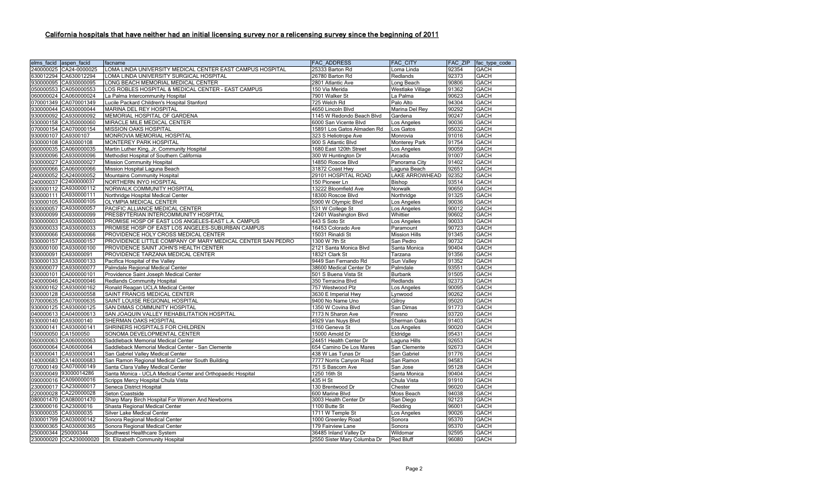## California hospitals that have neither had an initial licensing survey nor a relicensing survey since the beginning of 2011

|                     | elms facid aspen facid | facname                                                     | <b>FAC ADDRESS</b>          | <b>FAC CITY</b>         | <b>FAC ZIP</b> | fac type code |
|---------------------|------------------------|-------------------------------------------------------------|-----------------------------|-------------------------|----------------|---------------|
|                     | 240000025 CA24-0000025 | LOMA LINDA UNIVERSITY MEDICAL CENTER EAST CAMPUS HOSPITAL   | 25333 Barton Rd             | Loma Linda              | 92354          | GACH          |
|                     | 630012294 CA630012294  | LOMA LINDA UNIVERSITY SURGICAL HOSPITAL                     | 26780 Barton Rd             | Redlands                | 92373          | <b>GACH</b>   |
|                     | 930000095 CA930000095  | LONG BEACH MEMORIAL MEDICAL CENTER                          | 2801 Atlantic Ave           | Long Beach              | 90806          | GACH          |
|                     | 050000553 CA050000553  | LOS ROBLES HOSPITAL & MEDICAL CENTER - EAST CAMPUS          | 150 Via Merida              | <b>Westlake Village</b> | 91362          | GACH          |
|                     | 060000024 CA060000024  | La Palma Intercommunity Hospital                            | 7901 Walker St              | La Palma                | 90623          | GACH          |
|                     | 070001349 CA070001349  | Lucile Packard Children's Hospital Stanford                 | 725 Welch Rd                | Palo Alto               | 94304          | <b>GACH</b>   |
|                     | 930000044 CA930000044  | MARINA DEL REY HOSPITAL                                     | 4650 Lincoln Blvd           | Marina Del Rey          | 90292          | GACH          |
|                     | 930000092 CA930000092  | MEMORIAL HOSPITAL OF GARDENA                                | 1145 W Redondo Beach Blvd   | Gardena                 | 90247          | GACH          |
|                     | 930000158 CA350000060  | MIRACLE MILE MEDICAL CENTER                                 | 6000 San Vicente Blvd       | Los Angeles             | 90036          | GACH          |
|                     | 070000154 CA070000154  | MISSION OAKS HOSPITAL                                       | 15891 Los Gatos Almaden Rd  | Los Gatos               | 95032          | GACH          |
| 930000107 CA9300107 |                        | MONROVIA MEMORIAL HOSPITAL                                  | 323 S Heliotrope Ave        | Monrovia                | 91016          | GACH          |
|                     | 930000108 CA93000108   | MONTEREY PARK HOSPITAL                                      | 900 S Atlantic Blvd         | <b>Monterey Park</b>    | 91754          | GACH          |
|                     | 060000035 CA060000035  | Martin Luther King, Jr. Community Hospital                  | 1680 East 120th Street      | Los Angeles             | 90059          | GACH          |
|                     | 930000096 CA930000096  | Methodist Hospital of Southern California                   | 300 W Huntington Dr         | Arcadia                 | 91007          | GACH          |
|                     | 930000027 CA930000027  | <b>Mission Community Hospital</b>                           | 14850 Roscoe Blvd           | Panorama City           | 91402          | GACH          |
|                     | 060000066 CA060000066  | Mission Hospital Laguna Beach                               | 31872 Coast Hwy             | Laguna Beach            | 92651          | GACH          |
|                     | 240000052 CA240000052  | Mountains Community Hospital                                | 29101 HOSPITAL ROAD         | LAKE ARROWHEAD          | 92352          | GACH          |
|                     | 240000037 C2400000037  | NORTHERN INYO HOSPITAL                                      | 150 Pioneer Ln              | Bishop                  | 93514          | GACH          |
|                     | 930000112 CA930000112  | NORWALK COMMUNITY HOSPITAL                                  | 13222 Bloomfield Ave        | Norwalk                 | 90650          | GACH          |
|                     | 930000111 CA930000111  | Northridge Hospital Medical Center                          | 18300 Roscoe Blvd           | Northridge              | 91325          | <b>GACH</b>   |
|                     | 930000105 CA930000105  | OLYMPIA MEDICAL CENTER                                      | 5900 W Olympic Blvd         | Los Angeles             | 90036          | <b>GACH</b>   |
|                     | 930000057 CA930000057  | PACIFIC ALLIANCE MEDICAL CENTER                             | 531 W College St            | Los Angeles             | 90012          | <b>GACH</b>   |
|                     | 930000099 CA930000099  | PRESBYTERIAN INTERCOMMUNITY HOSPITAL                        | 12401 Washington Blvd       | Whittier                | 90602          | GACH          |
|                     | 930000003 CA930000003  | PROMISE HOSP OF EAST LOS ANGELES-EAST L.A. CAMPUS           | 443 S Soto St               | Los Angeles             | 90033          | GACH          |
|                     | 930000033 CA930000033  | PROMISE HOSP OF EAST LOS ANGELES-SUBURBAN CAMPUS            | 16453 Colorado Ave          | Paramount               | 90723          | GACH          |
|                     | 930000066 CA930000066  | PROVIDENCE HOLY CROSS MEDICAL CENTER                        | 15031 Rinaldi St            | <b>Mission Hills</b>    | 91345          | GACH          |
|                     | 930000157 CA930000157  | PROVIDENCE LITTLE COMPANY OF MARY MEDICAL CENTER SAN PEDRO  | 1300 W 7th St               | San Pedro               | 90732          | GACH          |
|                     | 930000100 CA930000100  | PROVIDENCE SAINT JOHN'S HEALTH CENTER                       | 2121 Santa Monica Blvd      | Santa Monica            | 90404          | GACH          |
|                     | 930000091 CA93000091   | PROVIDENCE TARZANA MEDICAL CENTER                           | 18321 Clark St              | Tarzana                 | 91356          | GACH          |
|                     | 930000133 CA930000133  | Pacifica Hospital of the Valley                             | 9449 San Fernando Rd        | Sun Valley              | 91352          | GACH          |
|                     | 930000077 CA930000077  | Palmdale Regional Medical Center                            | 38600 Medical Center Dr     | Palmdale                | 93551          | GACH          |
|                     | 930000101 CA000000101  | Providence Saint Joseph Medical Center                      | 501 S Buena Vista St        | <b>Burbank</b>          | 91505          | GACH          |
|                     | 240000046 CA240000046  | <b>Redlands Community Hospital</b>                          | 350 Terracina Blvd          | Redlands                | 92373          | GACH          |
|                     | 930000162 CA930000162  | Ronald Reagan UCLA Medical Center                           | 757 Westwood Plz            | Los Angeles             | 90095          | GACH          |
|                     | 930000128 CA930000558  | SAINT FRANCIS MEDICAL CENTER                                | 3630 E Imperial Hwy         | Lynwood                 | 90262          | GACH          |
|                     | 070000635 CA070000635  | SAINT LOUISE REGIONAL HOSPITAL                              | 9400 No Name Uno            | Gilroy                  | 95020          | GACH          |
|                     | 930000125 CA930000125  | SAN DIMAS COMMUNITY HOSPITAL                                | 1350 W Covina Blvd          | San Dimas               | 91773          | GACH          |
|                     | 040000613 CA040000613  |                                                             |                             |                         | 93720          | <b>GACH</b>   |
|                     |                        | SAN JOAQUIN VALLEY REHABILITATION HOSPITAL                  | 7173 N Sharon Ave           | Fresno                  |                |               |
|                     | 930000140 CA93000140   | SHERMAN OAKS HOSPITAL                                       | 4929 Van Nuys Blvd          | Sherman Oaks            | 91403          | GACH          |
|                     | 930000141 CA930000141  | SHRINERS HOSPITALS FOR CHILDREN                             | 3160 Geneva St              | Los Angeles             | 90020          | <b>GACH</b>   |
| 150000050 CA1500050 |                        | SONOMA DEVELOPMENTAL CENTER                                 | 15000 Arnold Dr             | Eldridge                | 95431          | <b>GACH</b>   |
|                     | 060000063 CA060000063  | Saddleback Memorial Medical Center                          | 24451 Health Center Dr      | Laguna Hills            | 92653          | <b>GACH</b>   |
|                     | 060000064 CA06000064   | Saddleback Memorial Medical Center - San Clemente           | 654 Camino De Los Mares     | San Clemente            | 92673          | <b>GACH</b>   |
|                     | 930000041 CA930000041  | San Gabriel Valley Medical Center                           | 438 W Las Tunas Dr          | San Gabriel             | 91776          | GACH          |
|                     | 140000683 CA140000683  | San Ramon Regional Medical Center South Building            | 7777 Norris Canyon Road     | San Ramon               | 94583          | GACH          |
|                     | 070000149 CA070000149  | Santa Clara Valley Medical Center                           | 751 S Bascom Ave            | San Jose                | 95128          | GACH          |
|                     | 930000049 93000014286  | Santa Monica - UCLA Medical Center and Orthopaedic Hospital | 1250 16th St                | Santa Monica            | 90404          | GACH          |
|                     | 090000016 CA090000016  | Scripps Mercy Hospital Chula Vista                          | 435 H St                    | Chula Vista             | 91910          | GACH          |
|                     | 230000017 CA230000017  | Seneca District Hospital                                    | 130 Brentwood Dr            | Chester                 | 96020          | GACH          |
|                     | 220000028 CA220000028  | Seton Coastside                                             | 600 Marine Blvd             | Moss Beach              | 94038          | GACH          |
|                     | 080001470 CA080001470  | Sharp Mary Birch Hospital For Women And Newborns            | 3003 Health Center Dr       | San Diego               | 92123          | GACH          |
|                     | 230000016 CA23000016   | Shasta Regional Medical Center                              | 1100 Butte St               | Redding                 | 96001          | GACH          |
|                     | 930000035 CA93000035   | Silver Lake Medical Center                                  | 1711 W Temple St            | Los Angeles             | 90026          | GACH          |
|                     | 030001799 CA030000142  | Sonora Regional Medical Center                              | 1000 Greenley Road          | Sonora                  | 95370          | GACH          |
|                     | 030000365 CA030000365  | Sonora Regional Medical Center                              | 179 Fairview Lane           | Sonora                  | 95370          | GACH          |
| 250000344 250000344 |                        | Southwest Healthcare System                                 | 36485 Inland Valley Dr      | Wildomar                | 92595          | GACH          |
|                     |                        | 230000020 CCA230000020 St. Elizabeth Community Hospital     | 2550 Sister Mary Columba Dr | <b>Red Bluff</b>        | 96080          | GACH          |